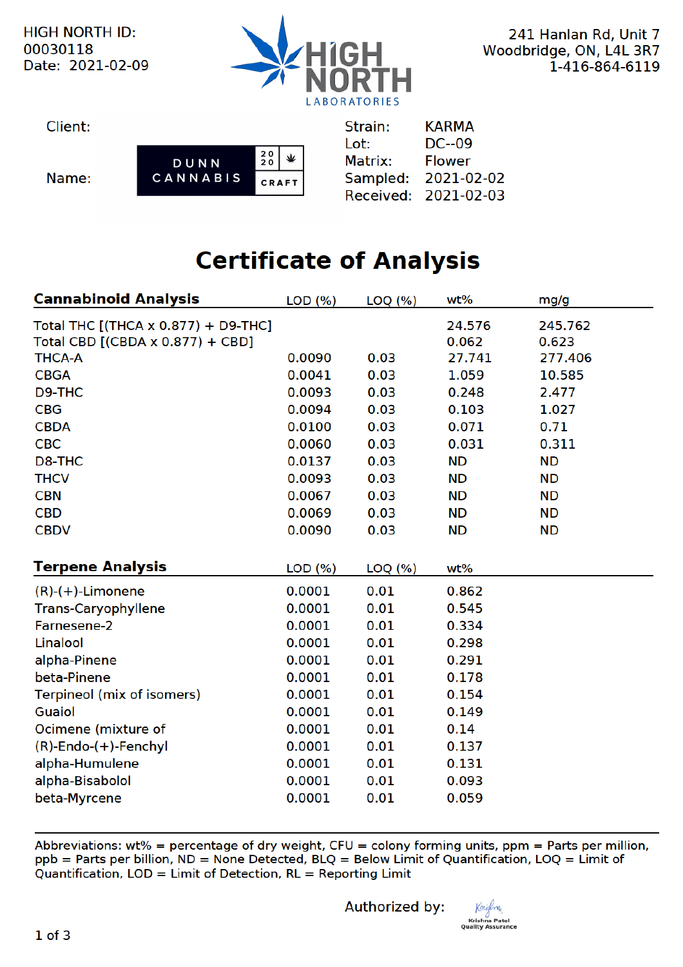

241 Hanlan Rd, Unit 7 Woodbridge, ON, L4L 3R7 1-416-864-6119

| Client: |          |              |  | Strain: | <b>KARMA</b>         |
|---------|----------|--------------|--|---------|----------------------|
|         |          |              |  | Lot:    | $DC-09$              |
|         | DUNN     | 20           |  | Matrix: | <b>Flower</b>        |
| Name:   | CANNABIS | <b>CRAFT</b> |  |         | Sampled: 2021-02-02  |
|         |          |              |  |         | Received: 2021-02-03 |

# **Certificate of Analysis**

| <b>Cannabinoid Analysis</b>         | LOD(%) | $LOQ$ $(\% )$ | wt%       | mg/g      |
|-------------------------------------|--------|---------------|-----------|-----------|
| Total THC [(THCA x 0.877) + D9-THC] |        |               | 24.576    | 245.762   |
| Total CBD [(CBDA x 0.877) + CBD]    |        |               | 0.062     | 0.623     |
| <b>THCA-A</b>                       | 0.0090 | 0.03          | 27.741    | 277.406   |
| <b>CBGA</b>                         | 0.0041 | 0.03          | 1.059     | 10.585    |
| D9-THC                              | 0.0093 | 0.03          | 0.248     | 2.477     |
| <b>CBG</b>                          | 0.0094 | 0.03          | 0.103     | 1.027     |
| <b>CBDA</b>                         | 0.0100 | 0.03          | 0.071     | 0.71      |
| <b>CBC</b>                          | 0.0060 | 0.03          | 0.031     | 0.311     |
| D8-THC                              | 0.0137 | 0.03          | <b>ND</b> | <b>ND</b> |
| <b>THCV</b>                         | 0.0093 | 0.03          | <b>ND</b> | <b>ND</b> |
| <b>CBN</b>                          | 0.0067 | 0.03          | <b>ND</b> | <b>ND</b> |
| <b>CBD</b>                          | 0.0069 | 0.03          | <b>ND</b> | <b>ND</b> |
| <b>CBDV</b>                         | 0.0090 | 0.03          | <b>ND</b> | <b>ND</b> |
|                                     |        |               |           |           |
| <b>Terpene Analysis</b>             | LOD(%) | $LOQ$ $(\% )$ | wt%       |           |
| $(R)-(+)$ -Limonene                 | 0.0001 | 0.01          | 0.862     |           |
| <b>Trans-Caryophyllene</b>          | 0.0001 | 0.01          | 0.545     |           |
| Farnesene-2                         | 0.0001 | 0.01          | 0.334     |           |
| Linalool                            | 0.0001 | 0.01          | 0.298     |           |
| alpha-Pinene                        | 0.0001 | 0.01          | 0.291     |           |
| beta-Pinene                         | 0.0001 | 0.01          | 0.178     |           |
| Terpineol (mix of isomers)          | 0.0001 | 0.01          | 0.154     |           |
| <b>Guaiol</b>                       | 0.0001 | 0.01          | 0.149     |           |
| Ocimene (mixture of                 | 0.0001 | 0.01          | 0.14      |           |
| $(R)$ -Endo- $(+)$ -Fenchyl         | 0.0001 | 0.01          | 0.137     |           |
| alpha-Humulene                      | 0.0001 | 0.01          | 0.131     |           |
| alpha-Bisabolol                     | 0.0001 | 0.01          | 0.093     |           |
| beta-Myrcene                        | 0.0001 | 0.01          | 0.059     |           |

Abbreviations: wt% = percentage of dry weight, CFU = colony forming units, ppm = Parts per million, ppb = Parts per billion, ND = None Detected, BLQ = Below Limit of Quantification, LOQ = Limit of Quantification, LOD = Limit of Detection, RL = Reporting Limit

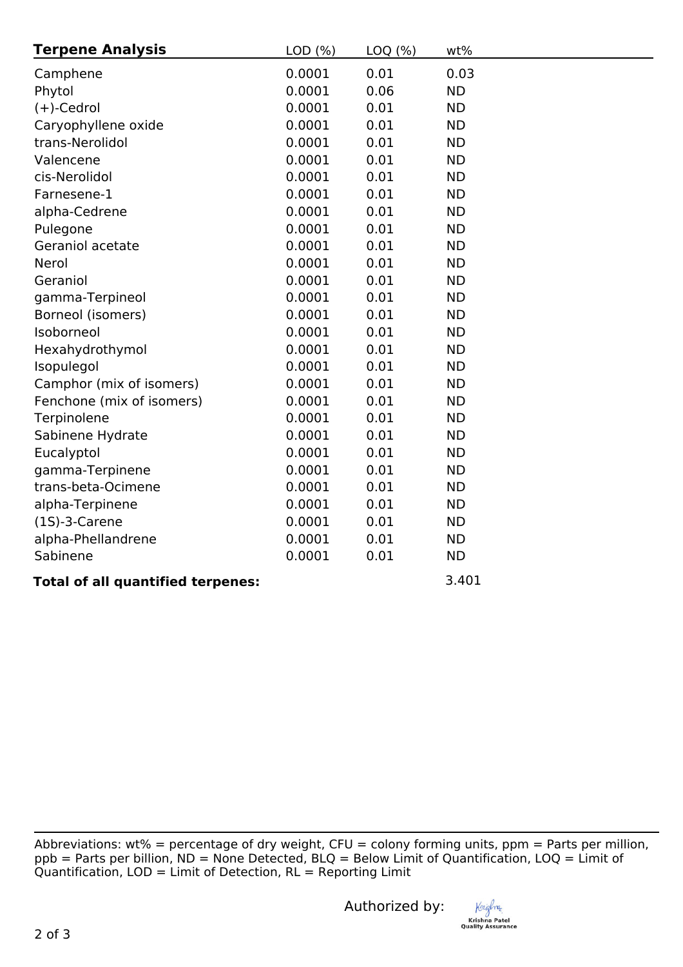| <b>Terpene Analysis</b>   | LOD(%) | LOQ (%) | wt%       |
|---------------------------|--------|---------|-----------|
| Camphene                  | 0.0001 | 0.01    | 0.03      |
| Phytol                    | 0.0001 | 0.06    | <b>ND</b> |
| $(+)$ -Cedrol             | 0.0001 | 0.01    | <b>ND</b> |
| Caryophyllene oxide       | 0.0001 | 0.01    | <b>ND</b> |
| trans-Nerolidol           | 0.0001 | 0.01    | <b>ND</b> |
| Valencene                 | 0.0001 | 0.01    | <b>ND</b> |
| cis-Nerolidol             | 0.0001 | 0.01    | <b>ND</b> |
| Farnesene-1               | 0.0001 | 0.01    | <b>ND</b> |
| alpha-Cedrene             | 0.0001 | 0.01    | <b>ND</b> |
| Pulegone                  | 0.0001 | 0.01    | <b>ND</b> |
| Geraniol acetate          | 0.0001 | 0.01    | <b>ND</b> |
| Nerol                     | 0.0001 | 0.01    | <b>ND</b> |
| Geraniol                  | 0.0001 | 0.01    | <b>ND</b> |
| gamma-Terpineol           | 0.0001 | 0.01    | <b>ND</b> |
| Borneol (isomers)         | 0.0001 | 0.01    | <b>ND</b> |
| Isoborneol                | 0.0001 | 0.01    | <b>ND</b> |
| Hexahydrothymol           | 0.0001 | 0.01    | <b>ND</b> |
| Isopulegol                | 0.0001 | 0.01    | <b>ND</b> |
| Camphor (mix of isomers)  | 0.0001 | 0.01    | <b>ND</b> |
| Fenchone (mix of isomers) | 0.0001 | 0.01    | <b>ND</b> |
| Terpinolene               | 0.0001 | 0.01    | <b>ND</b> |
| Sabinene Hydrate          | 0.0001 | 0.01    | <b>ND</b> |
| Eucalyptol                | 0.0001 | 0.01    | <b>ND</b> |
| gamma-Terpinene           | 0.0001 | 0.01    | <b>ND</b> |
| trans-beta-Ocimene        | 0.0001 | 0.01    | <b>ND</b> |
| alpha-Terpinene           | 0.0001 | 0.01    | <b>ND</b> |
| $(1S)-3$ -Carene          | 0.0001 | 0.01    | <b>ND</b> |
| alpha-Phellandrene        | 0.0001 | 0.01    | <b>ND</b> |
| Sabinene                  | 0.0001 | 0.01    | <b>ND</b> |

# **Total of all quantified terpenes:** 3.401

Abbreviations: wt% = percentage of dry weight, CFU = colony forming units, ppm = Parts per million, ppb = Parts per billion, ND = None Detected, BLQ = Below Limit of Quantification, LOQ = Limit of  $Quantification,  $LOD = Limit$  of Detection,  $RL = Reporting Limit$$